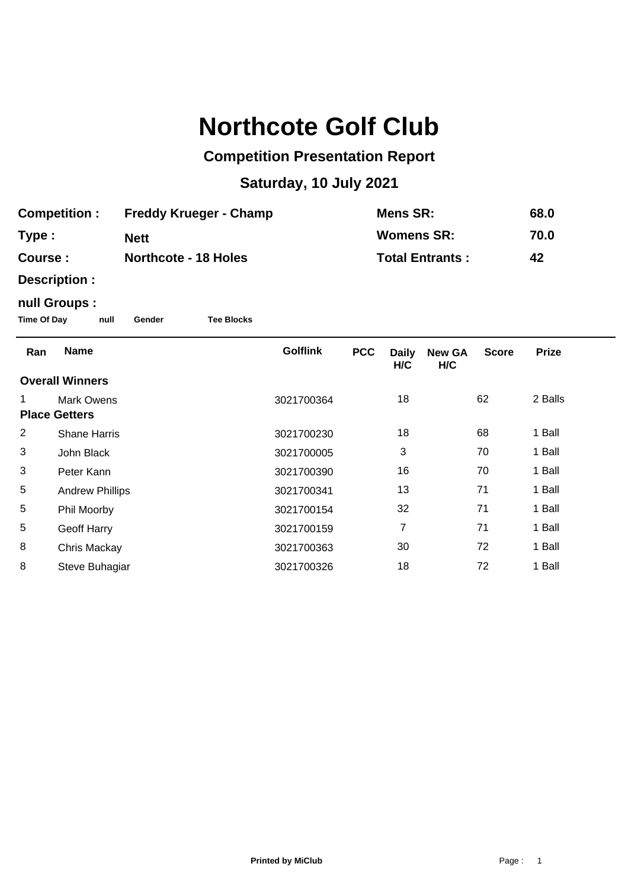## **Northcote Golf Club**

## **Competition Presentation Report**

## **Saturday, 10 July 2021**

| <b>Competition :</b> | <b>Freddy Krueger - Champ</b> | Mens SR:               | 68.0 |
|----------------------|-------------------------------|------------------------|------|
| Type :               | <b>Nett</b>                   | <b>Womens SR:</b>      | 70.0 |
| <b>Course :</b>      | <b>Northcote - 18 Holes</b>   | <b>Total Entrants:</b> | 42   |

**Description :**

## **null Groups :**

**Time Of Day null Gender Tee Blocks**

| Ran                  | <b>Name</b>            | <b>Golflink</b> | <b>PCC</b> | <b>Daily</b><br>H/C | <b>New GA</b><br>H/C | <b>Score</b> | <b>Prize</b> |
|----------------------|------------------------|-----------------|------------|---------------------|----------------------|--------------|--------------|
|                      | <b>Overall Winners</b> |                 |            |                     |                      |              |              |
| 1                    | Mark Owens             | 3021700364      |            | 18                  |                      | 62           | 2 Balls      |
| <b>Place Getters</b> |                        |                 |            |                     |                      |              |              |
| $\overline{c}$       | <b>Shane Harris</b>    | 3021700230      |            | 18                  |                      | 68           | 1 Ball       |
| 3                    | John Black             | 3021700005      |            | 3                   |                      | 70           | 1 Ball       |
| 3                    | Peter Kann             | 3021700390      |            | 16                  |                      | 70           | 1 Ball       |
| 5                    | <b>Andrew Phillips</b> | 3021700341      |            | 13                  |                      | 71           | 1 Ball       |
| 5                    | Phil Moorby            | 3021700154      |            | 32                  |                      | 71           | 1 Ball       |
| 5                    | Geoff Harry            | 3021700159      |            | 7                   |                      | 71           | 1 Ball       |
| 8                    | Chris Mackay           | 3021700363      |            | 30                  |                      | 72           | 1 Ball       |
| 8                    | Steve Buhagiar         | 3021700326      |            | 18                  |                      | 72           | 1 Ball       |